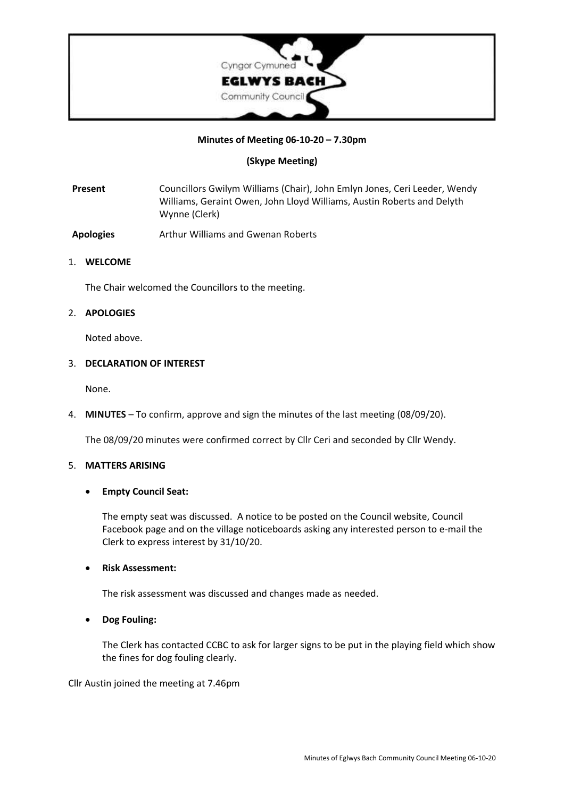

### **Minutes of Meeting 06-10-20 – 7.30pm**

### **(Skype Meeting)**

**Present** Councillors Gwilym Williams (Chair), John Emlyn Jones, Ceri Leeder, Wendy Williams, Geraint Owen, John Lloyd Williams, Austin Roberts and Delyth Wynne (Clerk)

**Apologies** Arthur Williams and Gwenan Roberts

### 1. **WELCOME**

The Chair welcomed the Councillors to the meeting.

### 2. **APOLOGIES**

Noted above.

#### 3. **DECLARATION OF INTEREST**

None.

4. **MINUTES** – To confirm, approve and sign the minutes of the last meeting (08/09/20).

The 08/09/20 minutes were confirmed correct by Cllr Ceri and seconded by Cllr Wendy.

#### 5. **MATTERS ARISING**

### • **Empty Council Seat:**

The empty seat was discussed. A notice to be posted on the Council website, Council Facebook page and on the village noticeboards asking any interested person to e-mail the Clerk to express interest by 31/10/20.

### • **Risk Assessment:**

The risk assessment was discussed and changes made as needed.

• **Dog Fouling:**

The Clerk has contacted CCBC to ask for larger signs to be put in the playing field which show the fines for dog fouling clearly.

Cllr Austin joined the meeting at 7.46pm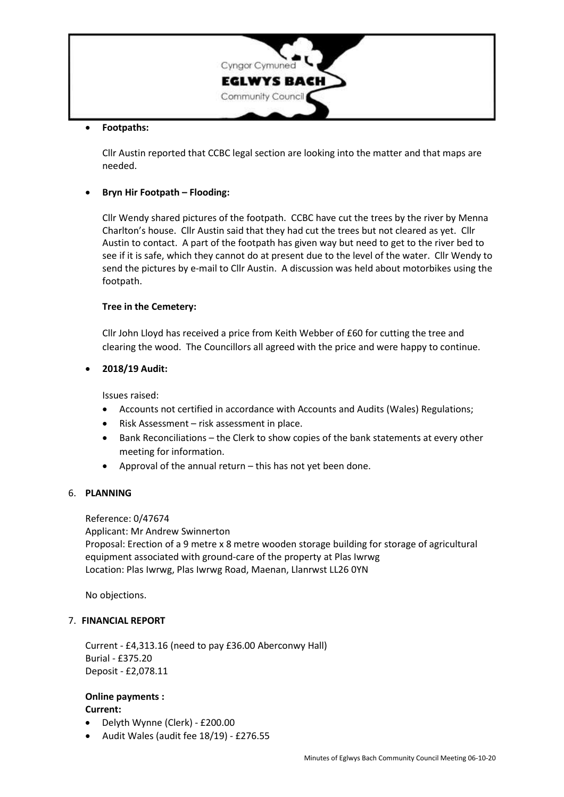

### • **Footpaths:**

Cllr Austin reported that CCBC legal section are looking into the matter and that maps are needed.

# • **Bryn Hir Footpath – Flooding:**

Cllr Wendy shared pictures of the footpath. CCBC have cut the trees by the river by Menna Charlton's house. Cllr Austin said that they had cut the trees but not cleared as yet. Cllr Austin to contact. A part of the footpath has given way but need to get to the river bed to see if it is safe, which they cannot do at present due to the level of the water. Cllr Wendy to send the pictures by e-mail to Cllr Austin. A discussion was held about motorbikes using the footpath.

# **Tree in the Cemetery:**

Cllr John Lloyd has received a price from Keith Webber of £60 for cutting the tree and clearing the wood. The Councillors all agreed with the price and were happy to continue.

# • **2018/19 Audit:**

Issues raised:

- Accounts not certified in accordance with Accounts and Audits (Wales) Regulations;
- Risk Assessment risk assessment in place.
- Bank Reconciliations the Clerk to show copies of the bank statements at every other meeting for information.
- Approval of the annual return this has not yet been done.

### 6. **PLANNING**

### Reference: 0/47674

Applicant: Mr Andrew Swinnerton Proposal: Erection of a 9 metre x 8 metre wooden storage building for storage of agricultural equipment associated with ground-care of the property at Plas Iwrwg Location: Plas Iwrwg, Plas Iwrwg Road, Maenan, Llanrwst LL26 0YN

No objections.

### 7. **FINANCIAL REPORT**

Current - £4,313.16 (need to pay £36.00 Aberconwy Hall) Burial - £375.20 Deposit - £2,078.11

# **Online payments : Current:**

- Delyth Wynne (Clerk) £200.00
- Audit Wales (audit fee 18/19) £276.55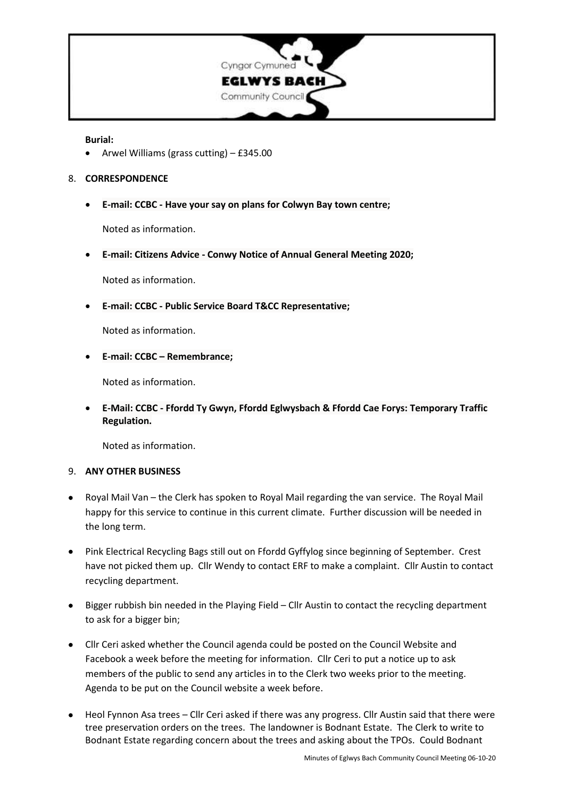

#### **Burial:**

• Arwel Williams (grass cutting) – £345.00

### 8. **CORRESPONDENCE**

• **E-mail: CCBC - Have your say on plans for Colwyn Bay town centre;**

Noted as information.

• **E-mail: Citizens Advice - Conwy Notice of Annual General Meeting 2020;**

Noted as information.

• **E-mail: CCBC - Public Service Board T&CC Representative;**

Noted as information.

• **E-mail: CCBC – Remembrance;**

Noted as information.

• **E-Mail: CCBC - Ffordd Ty Gwyn, Ffordd Eglwysbach & Ffordd Cae Forys: Temporary Traffic Regulation.**

Noted as information.

### 9. **ANY OTHER BUSINESS**

- Royal Mail Van the Clerk has spoken to Royal Mail regarding the van service. The Royal Mail happy for this service to continue in this current climate. Further discussion will be needed in the long term.
- Pink Electrical Recycling Bags still out on Ffordd Gyffylog since beginning of September. Crest have not picked them up. Cllr Wendy to contact ERF to make a complaint. Cllr Austin to contact recycling department.
- Bigger rubbish bin needed in the Playing Field Cllr Austin to contact the recycling department to ask for a bigger bin;
- Cllr Ceri asked whether the Council agenda could be posted on the Council Website and Facebook a week before the meeting for information. Cllr Ceri to put a notice up to ask members of the public to send any articles in to the Clerk two weeks prior to the meeting. Agenda to be put on the Council website a week before.
- Heol Fynnon Asa trees Cllr Ceri asked if there was any progress. Cllr Austin said that there were tree preservation orders on the trees. The landowner is Bodnant Estate. The Clerk to write to Bodnant Estate regarding concern about the trees and asking about the TPOs. Could Bodnant